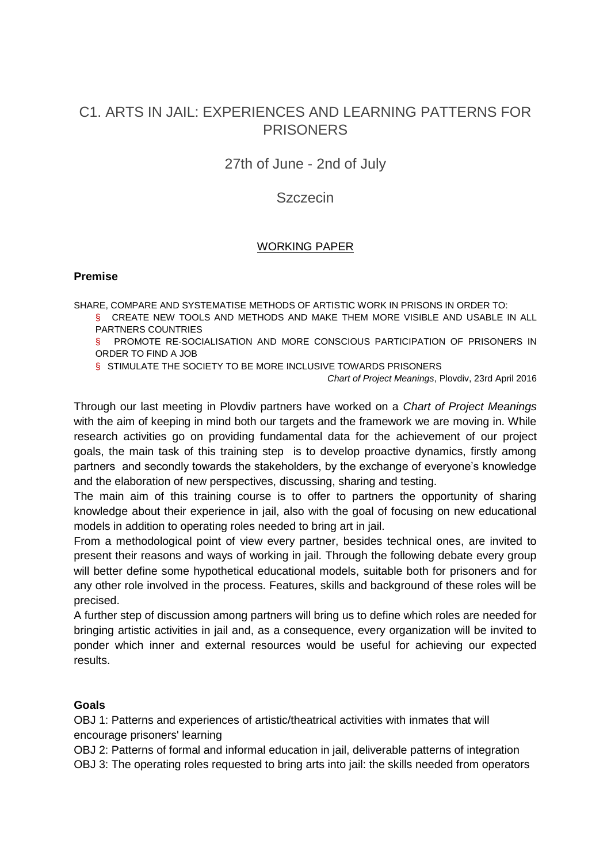# C1. ARTS IN JAIL: EXPERIENCES AND LEARNING PATTERNS FOR **PRISONERS**

27th of June - 2nd of July

# **Szczecin**

### WORKING PAPER

#### **Premise**

SHARE, COMPARE AND SYSTEMATISE METHODS OF ARTISTIC WORK IN PRISONS IN ORDER TO:

§ CREATE NEW TOOLS AND METHODS AND MAKE THEM MORE VISIBLE AND USABLE IN ALL PARTNERS COUNTRIES

§ PROMOTE RE-SOCIALISATION AND MORE CONSCIOUS PARTICIPATION OF PRISONERS IN ORDER TO FIND A JOB

§ STIMULATE THE SOCIETY TO BE MORE INCLUSIVE TOWARDS PRISONERS

*Chart of Project Meanings*, Plovdiv, 23rd April 2016

Through our last meeting in Plovdiv partners have worked on a *Chart of Project Meanings* with the aim of keeping in mind both our targets and the framework we are moving in. While research activities go on providing fundamental data for the achievement of our project goals, the main task of this training step is to develop proactive dynamics, firstly among partners and secondly towards the stakeholders, by the exchange of everyone's knowledge and the elaboration of new perspectives, discussing, sharing and testing.

The main aim of this training course is to offer to partners the opportunity of sharing knowledge about their experience in jail, also with the goal of focusing on new educational models in addition to operating roles needed to bring art in jail.

From a methodological point of view every partner, besides technical ones, are invited to present their reasons and ways of working in jail. Through the following debate every group will better define some hypothetical educational models, suitable both for prisoners and for any other role involved in the process. Features, skills and background of these roles will be precised.

A further step of discussion among partners will bring us to define which roles are needed for bringing artistic activities in jail and, as a consequence, every organization will be invited to ponder which inner and external resources would be useful for achieving our expected results.

#### **Goals**

OBJ 1: Patterns and experiences of artistic/theatrical activities with inmates that will encourage prisoners' learning

OBJ 2: Patterns of formal and informal education in jail, deliverable patterns of integration OBJ 3: The operating roles requested to bring arts into jail: the skills needed from operators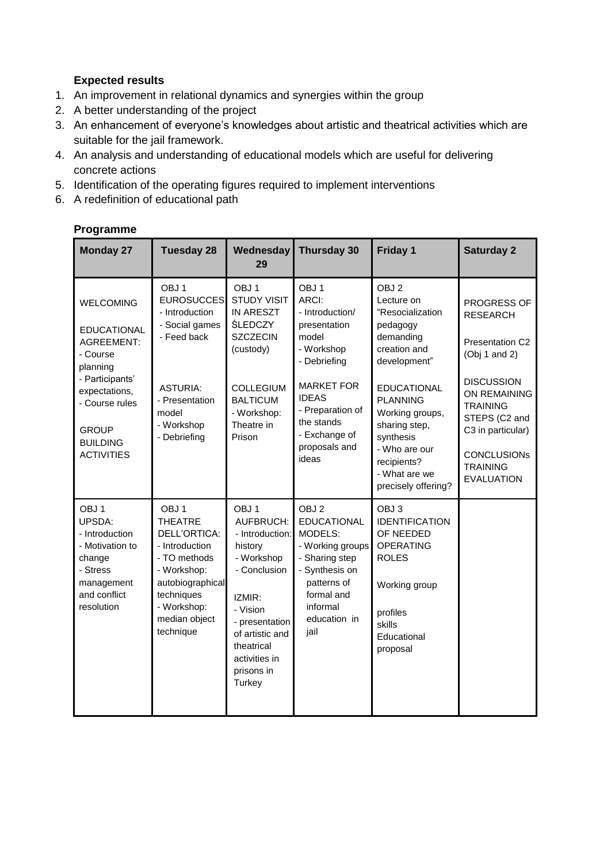### **Expected results**

- 1. An improvement in relational dynamics and synergies within the group
- 2. A better understanding of the project
- 3. An enhancement of everyone's knowledges about artistic and theatrical activities which are suitable for the jail framework.
- 4. An analysis and understanding of educational models which are useful for delivering concrete actions
- 5. Identification of the operating figures required to implement interventions
- 6. A redefinition of educational path

## **Programme**

| <b>Monday 27</b>                                                                                                                                                                                  | <b>Tuesday 28</b>                                                                                                                                                                  | Wednesday<br>29                                                                                                                                                                                             | Thursday 30                                                                                                                                                                                                           | Friday 1                                                                                                                                                                                                                                                                      | <b>Saturday 2</b>                                                                                                                                                                                                              |
|---------------------------------------------------------------------------------------------------------------------------------------------------------------------------------------------------|------------------------------------------------------------------------------------------------------------------------------------------------------------------------------------|-------------------------------------------------------------------------------------------------------------------------------------------------------------------------------------------------------------|-----------------------------------------------------------------------------------------------------------------------------------------------------------------------------------------------------------------------|-------------------------------------------------------------------------------------------------------------------------------------------------------------------------------------------------------------------------------------------------------------------------------|--------------------------------------------------------------------------------------------------------------------------------------------------------------------------------------------------------------------------------|
| <b>WELCOMING</b><br><b>EDUCATIONAL</b><br><b>AGREEMENT:</b><br>- Course<br>planning<br>- Participants'<br>expectations,<br>- Course rules<br><b>GROUP</b><br><b>BUILDING</b><br><b>ACTIVITIES</b> | OBJ <sub>1</sub><br>EUROSUCCES<br>- Introduction<br>- Social games<br>- Feed back<br><b>ASTURIA:</b><br>- Presentation<br>model<br>- Workshop<br>- Debriefing                      | OBJ <sub>1</sub><br><b>STUDY VISIT</b><br>IN ARESZT<br><b>ŚLEDCZY</b><br><b>SZCZECIN</b><br>(custody)<br><b>COLLEGIUM</b><br><b>BALTICUM</b><br>- Workshop:<br>Theatre in<br>Prison                         | OBJ <sub>1</sub><br>ARCI:<br>- Introduction/<br>presentation<br>model<br>- Workshop<br>- Debriefing<br><b>MARKET FOR</b><br><b>IDEAS</b><br>- Preparation of<br>the stands<br>- Exchange of<br>proposals and<br>ideas | OBJ <sub>2</sub><br>Lecture on<br>"Resocialization<br>pedagogy<br>demanding<br>creation and<br>development"<br><b>EDUCATIONAL</b><br><b>PLANNING</b><br>Working groups,<br>sharing step,<br>synthesis<br>- Who are our<br>recipients?<br>- What are we<br>precisely offering? | PROGRESS OF<br><b>RESEARCH</b><br>Presentation C2<br>(Obj 1 and 2)<br><b>DISCUSSION</b><br>ON REMAINING<br><b>TRAINING</b><br>STEPS (C2 and<br>C3 in particular)<br><b>CONCLUSIONs</b><br><b>TRAINING</b><br><b>EVALUATION</b> |
| OBJ <sub>1</sub><br>UPSDA:<br>- Introduction<br>- Motivation to<br>change<br>- Stress<br>management<br>and conflict<br>resolution                                                                 | OBJ <sub>1</sub><br><b>THEATRE</b><br>DELL'ORTICA:<br>- Introduction<br>- TO methods<br>- Workshop:<br>autobiographical<br>techniques<br>- Workshop:<br>median object<br>technique | OBJ <sub>1</sub><br>AUFBRUCH:<br>- Introduction:<br>history<br>- Workshop<br>- Conclusion<br>IZMIR:<br>- Vision<br>- presentation<br>of artistic and<br>theatrical<br>activities in<br>prisons in<br>Turkey | OBJ <sub>2</sub><br><b>EDUCATIONAL</b><br>MODELS:<br>- Working groups<br>- Sharing step<br>- Synthesis on<br>patterns of<br>formal and<br>informal<br>education in<br>jail                                            | OBJ3<br><b>IDENTIFICATION</b><br>OF NEEDED<br><b>OPERATING</b><br><b>ROLES</b><br>Working group<br>profiles<br>skills<br>Educational<br>proposal                                                                                                                              |                                                                                                                                                                                                                                |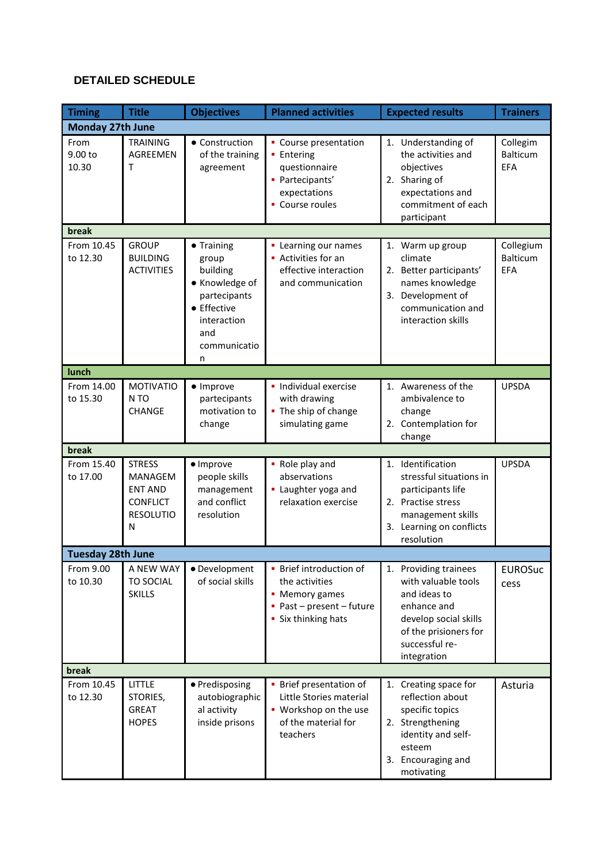# **DETAILED SCHEDULE**

| <b>Timing</b>            | <b>Title</b>                                                                                  | <b>Objectives</b>                                                                                                           | <b>Planned activities</b>                                                                                                    | <b>Expected results</b>                                                                                                                                        | <b>Trainers</b>                            |  |
|--------------------------|-----------------------------------------------------------------------------------------------|-----------------------------------------------------------------------------------------------------------------------------|------------------------------------------------------------------------------------------------------------------------------|----------------------------------------------------------------------------------------------------------------------------------------------------------------|--------------------------------------------|--|
| <b>Monday 27th June</b>  |                                                                                               |                                                                                                                             |                                                                                                                              |                                                                                                                                                                |                                            |  |
| From<br>9.00 to<br>10.30 | <b>TRAINING</b><br>AGREEMEN<br>т                                                              | • Construction<br>of the training<br>agreement                                                                              | • Course presentation<br><b>Entering</b><br>questionnaire<br>· Partecipants'<br>expectations<br>• Course roules              | 1. Understanding of<br>the activities and<br>objectives<br>2. Sharing of<br>expectations and<br>commitment of each<br>participant                              | Collegim<br><b>Balticum</b><br><b>EFA</b>  |  |
| break                    |                                                                                               |                                                                                                                             |                                                                                                                              |                                                                                                                                                                |                                            |  |
| From 10.45<br>to 12.30   | <b>GROUP</b><br><b>BUILDING</b><br><b>ACTIVITIES</b>                                          | • Training<br>group<br>building<br>• Knowledge of<br>partecipants<br>• Effective<br>interaction<br>and<br>communicatio<br>n | • Learning our names<br>• Activities for an<br>effective interaction<br>and communication                                    | 1. Warm up group<br>climate<br>2. Better participants'<br>names knowledge<br>3. Development of<br>communication and<br>interaction skills                      | Collegium<br><b>Balticum</b><br><b>EFA</b> |  |
| lunch                    |                                                                                               |                                                                                                                             |                                                                                                                              |                                                                                                                                                                |                                            |  |
| From 14.00<br>to 15.30   | <b>MOTIVATIO</b><br>N <sub>TO</sub><br><b>CHANGE</b>                                          | · Improve<br>partecipants<br>motivation to<br>change                                                                        | · Individual exercise<br>with drawing<br>• The ship of change<br>simulating game                                             | 1. Awareness of the<br>ambivalence to<br>change<br>2. Contemplation for<br>change                                                                              | <b>UPSDA</b>                               |  |
| break                    |                                                                                               |                                                                                                                             |                                                                                                                              |                                                                                                                                                                |                                            |  |
| From 15.40<br>to 17.00   | <b>STRESS</b><br><b>MANAGEM</b><br><b>ENT AND</b><br><b>CONFLICT</b><br><b>RESOLUTIO</b><br>N | · Improve<br>people skills<br>management<br>and conflict<br>resolution                                                      | • Role play and<br>abservations<br>• Laughter yoga and<br>relaxation exercise                                                | 1. Identification<br>stressful situations in<br>participants life<br>2. Practise stress<br>management skills<br>3. Learning on conflicts<br>resolution         | <b>UPSDA</b>                               |  |
| <b>Tuesday 28th June</b> |                                                                                               |                                                                                                                             |                                                                                                                              |                                                                                                                                                                |                                            |  |
| From 9.00<br>to 10.30    | A NEW WAY<br><b>TO SOCIAL</b><br><b>SKILLS</b>                                                | · Development<br>of social skills                                                                                           | • Brief introduction of<br>the activities<br>• Memory games<br>$\blacksquare$ Past - present - future<br>• Six thinking hats | 1. Providing trainees<br>with valuable tools<br>and ideas to<br>enhance and<br>develop social skills<br>of the prisioners for<br>successful re-<br>integration | <b>EUROSuc</b><br>cess                     |  |
| break                    |                                                                                               |                                                                                                                             |                                                                                                                              |                                                                                                                                                                |                                            |  |
| From 10.45<br>to 12.30   | LITTLE<br>STORIES,<br><b>GREAT</b><br><b>HOPES</b>                                            | · Predisposing<br>autobiographic<br>al activity<br>inside prisons                                                           | • Brief presentation of<br>Little Stories material<br>• Workshop on the use<br>of the material for<br>teachers               | 1. Creating space for<br>reflection about<br>specific topics<br>2. Strengthening<br>identity and self-<br>esteem<br>3. Encouraging and<br>motivating           | Asturia                                    |  |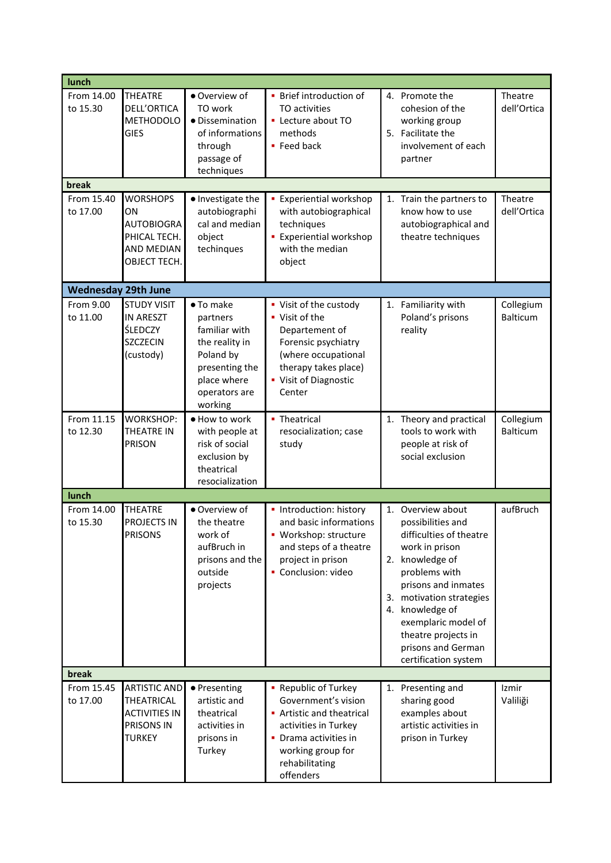| lunch                      |                                                                                          |                                                                                                                                    |                                                                                                                                                                               |          |                                                                                                                                                                                                                                                                                     |                              |
|----------------------------|------------------------------------------------------------------------------------------|------------------------------------------------------------------------------------------------------------------------------------|-------------------------------------------------------------------------------------------------------------------------------------------------------------------------------|----------|-------------------------------------------------------------------------------------------------------------------------------------------------------------------------------------------------------------------------------------------------------------------------------------|------------------------------|
| From 14.00<br>to 15.30     | <b>THEATRE</b><br><b>DELL'ORTICA</b><br><b>METHODOLO</b><br><b>GIES</b>                  | · Overview of<br>TO work<br>· Dissemination<br>of informations<br>through<br>passage of<br>techniques                              | • Brief introduction of<br>TO activities<br>• Lecture about TO<br>methods<br>• Feed back                                                                                      |          | 4. Promote the<br>cohesion of the<br>working group<br>5. Facilitate the<br>involvement of each<br>partner                                                                                                                                                                           | Theatre<br>dell'Ortica       |
| break                      |                                                                                          |                                                                                                                                    |                                                                                                                                                                               |          |                                                                                                                                                                                                                                                                                     |                              |
| From 15.40<br>to 17.00     | <b>WORSHOPS</b><br>ON<br><b>AUTOBIOGRA</b><br>PHICAL TECH.<br>AND MEDIAN<br>OBJECT TECH. | · Investigate the<br>autobiographi<br>cal and median<br>object<br>techinques                                                       | <b>Experiential workshop</b><br>with autobiographical<br>techniques<br><b>Experiential workshop</b><br>with the median<br>object                                              | 1.       | Train the partners to<br>know how to use<br>autobiographical and<br>theatre techniques                                                                                                                                                                                              | Theatre<br>dell'Ortica       |
| <b>Wednesday 29th June</b> |                                                                                          |                                                                                                                                    |                                                                                                                                                                               |          |                                                                                                                                                                                                                                                                                     |                              |
| From 9.00<br>to 11.00      | <b>STUDY VISIT</b><br><b>IN ARESZT</b><br><b>ŚLEDCZY</b><br><b>SZCZECIN</b><br>(custody) | • To make<br>partners<br>familiar with<br>the reality in<br>Poland by<br>presenting the<br>place where<br>operators are<br>working | • Visit of the custody<br>• Visit of the<br>Departement of<br>Forensic psychiatry<br>(where occupational<br>therapy takes place)<br>• Visit of Diagnostic<br>Center           |          | 1. Familiarity with<br>Poland's prisons<br>reality                                                                                                                                                                                                                                  | Collegium<br><b>Balticum</b> |
| From 11.15<br>to 12.30     | <b>WORKSHOP:</b><br>THEATRE IN<br><b>PRISON</b>                                          | · How to work<br>with people at<br>risk of social<br>exclusion by<br>theatrical<br>resocialization                                 | • Theatrical<br>resocialization; case<br>study                                                                                                                                | 1.       | Theory and practical<br>tools to work with<br>people at risk of<br>social exclusion                                                                                                                                                                                                 | Collegium<br>Balticum        |
| lunch                      |                                                                                          |                                                                                                                                    |                                                                                                                                                                               |          |                                                                                                                                                                                                                                                                                     |                              |
| From 14.00<br>to 15.30     | <b>THEATRE</b><br>PROJECTS IN<br><b>PRISONS</b>                                          | • Overview of<br>the theatre<br>work of<br>aufBruch in<br>prisons and the<br>outside<br>projects                                   | • Introduction: history<br>and basic informations<br>· Workshop: structure<br>and steps of a theatre<br>project in prison<br>Conclusion: video                                | 2.<br>4. | 1. Overview about<br>possibilities and<br>difficulties of theatre<br>work in prison<br>knowledge of<br>problems with<br>prisons and inmates<br>3. motivation strategies<br>knowledge of<br>exemplaric model of<br>theatre projects in<br>prisons and German<br>certification system | aufBruch                     |
| break                      |                                                                                          |                                                                                                                                    |                                                                                                                                                                               |          |                                                                                                                                                                                                                                                                                     |                              |
| From 15.45<br>to 17.00     | <b>ARTISTIC AND</b><br>THEATRICAL<br><b>ACTIVITIES IN</b><br>PRISONS IN<br><b>TURKEY</b> | ● Presenting<br>artistic and<br>theatrical<br>activities in<br>prisons in<br>Turkey                                                | • Republic of Turkey<br>Government's vision<br>• Artistic and theatrical<br>activities in Turkey<br>• Drama activities in<br>working group for<br>rehabilitating<br>offenders |          | 1. Presenting and<br>sharing good<br>examples about<br>artistic activities in<br>prison in Turkey                                                                                                                                                                                   | Izmir<br>Valiliği            |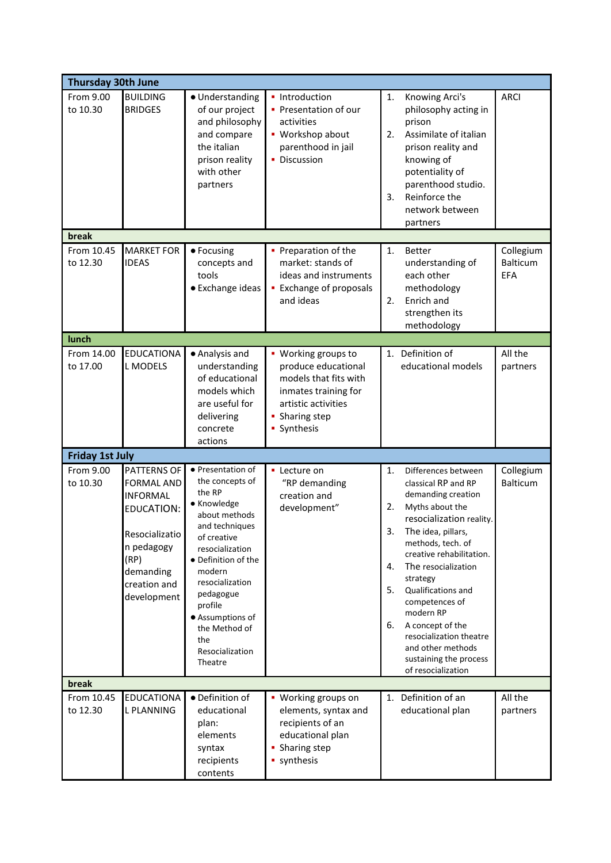| <b>Thursday 30th June</b> |                                                                                                                                                       |                                                                                                                                                                                                                                                                                          |                                                                                                                                                     |                                                                                                                                                                                                                                                                                                                                                                                                                                                                 |  |  |
|---------------------------|-------------------------------------------------------------------------------------------------------------------------------------------------------|------------------------------------------------------------------------------------------------------------------------------------------------------------------------------------------------------------------------------------------------------------------------------------------|-----------------------------------------------------------------------------------------------------------------------------------------------------|-----------------------------------------------------------------------------------------------------------------------------------------------------------------------------------------------------------------------------------------------------------------------------------------------------------------------------------------------------------------------------------------------------------------------------------------------------------------|--|--|
| From 9.00<br>to 10.30     | <b>BUILDING</b><br><b>BRIDGES</b>                                                                                                                     | · Understanding<br>of our project<br>and philosophy<br>and compare<br>the italian<br>prison reality<br>with other<br>partners                                                                                                                                                            | • Introduction<br>• Presentation of our<br>activities<br>• Workshop about<br>parenthood in jail<br>• Discussion                                     | <b>ARCI</b><br>1.<br>Knowing Arci's<br>philosophy acting in<br>prison<br>Assimilate of italian<br>2.<br>prison reality and<br>knowing of<br>potentiality of<br>parenthood studio.<br>Reinforce the<br>3.<br>network between<br>partners                                                                                                                                                                                                                         |  |  |
| break                     |                                                                                                                                                       |                                                                                                                                                                                                                                                                                          |                                                                                                                                                     |                                                                                                                                                                                                                                                                                                                                                                                                                                                                 |  |  |
| From 10.45<br>to 12.30    | <b>MARKET FOR</b><br><b>IDEAS</b>                                                                                                                     | • Focusing<br>concepts and<br>tools<br>• Exchange ideas                                                                                                                                                                                                                                  | • Preparation of the<br>market: stands of<br>ideas and instruments<br><b>Exchange of proposals</b><br>and ideas                                     | Collegium<br>1.<br><b>Better</b><br>Balticum<br>understanding of<br>each other<br>EFA<br>methodology<br>Enrich and<br>2.<br>strengthen its<br>methodology                                                                                                                                                                                                                                                                                                       |  |  |
| lunch                     |                                                                                                                                                       |                                                                                                                                                                                                                                                                                          |                                                                                                                                                     |                                                                                                                                                                                                                                                                                                                                                                                                                                                                 |  |  |
| From 14.00<br>to 17.00    | <b>EDUCATIONA</b><br>L MODELS                                                                                                                         | • Analysis and<br>understanding<br>of educational<br>models which<br>are useful for<br>delivering<br>concrete<br>actions                                                                                                                                                                 | • Working groups to<br>produce educational<br>models that fits with<br>inmates training for<br>artistic activities<br>• Sharing step<br>• Synthesis | 1. Definition of<br>All the<br>educational models<br>partners                                                                                                                                                                                                                                                                                                                                                                                                   |  |  |
| <b>Friday 1st July</b>    |                                                                                                                                                       |                                                                                                                                                                                                                                                                                          |                                                                                                                                                     |                                                                                                                                                                                                                                                                                                                                                                                                                                                                 |  |  |
| From 9.00<br>to 10.30     | PATTERNS OF<br><b>FORMAL AND</b><br><b>INFORMAL</b><br>EDUCATION:<br>Resocializatio<br>n pedagogy<br>(RP)<br>demanding<br>creation and<br>development | • Presentation of<br>the concepts of<br>the RP<br>· Knowledge<br>about methods<br>and techniques<br>of creative<br>resocialization<br>• Definition of the<br>modern<br>resocialization<br>pedagogue<br>profile<br>• Assumptions of<br>the Method of<br>the<br>Resocialization<br>Theatre | • Lecture on<br>"RP demanding<br>creation and<br>development"                                                                                       | Collegium<br>1.<br>Differences between<br>Balticum<br>classical RP and RP<br>demanding creation<br>Myths about the<br>2.<br>resocialization reality.<br>3.<br>The idea, pillars,<br>methods, tech. of<br>creative rehabilitation.<br>The resocialization<br>4.<br>strategy<br>5.<br>Qualifications and<br>competences of<br>modern RP<br>6.<br>A concept of the<br>resocialization theatre<br>and other methods<br>sustaining the process<br>of resocialization |  |  |
| break                     |                                                                                                                                                       |                                                                                                                                                                                                                                                                                          |                                                                                                                                                     |                                                                                                                                                                                                                                                                                                                                                                                                                                                                 |  |  |
| From 10.45<br>to 12.30    | <b>EDUCATIONA</b><br><b>L PLANNING</b>                                                                                                                | • Definition of<br>educational<br>plan:<br>elements<br>syntax<br>recipients<br>contents                                                                                                                                                                                                  | • Working groups on<br>elements, syntax and<br>recipients of an<br>educational plan<br>• Sharing step<br>• synthesis                                | 1. Definition of an<br>All the<br>educational plan<br>partners                                                                                                                                                                                                                                                                                                                                                                                                  |  |  |